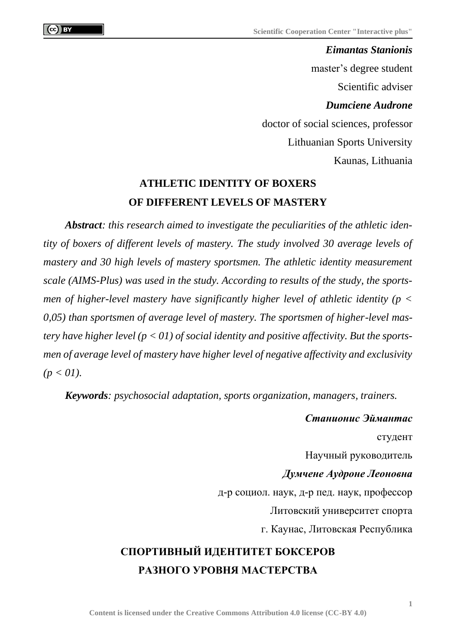*Eimantas Stanionis* master's degree student Scientific adviser *Dumciene Audrone* doctor of social sciences, professor Lithuanian Sports University Kaunas, Lithuania

## **ATHLETIC IDENTITY OF BOXERS OF DIFFERENT LEVELS OF MASTERY**

*Abstract: this research aimed to investigate the peculiarities of the athletic identity of boxers of different levels of mastery. The study involved 30 average levels of mastery and 30 high levels of mastery sportsmen. The athletic identity measurement scale (AIMS-Plus) was used in the study. According to results of the study, the sportsmen of higher-level mastery have significantly higher level of athletic identity (p < 0,05) than sportsmen of average level of mastery. The sportsmen of higher-level mastery have higher level (p < 01) of social identity and positive affectivity. But the sportsmen of average level of mastery have higher level of negative affectivity and exclusivity*   $(p < 01)$ .

*Keywords: psychosocial adaptation, sports organization, managers, trainers.*

*Станионис Эймантас* студент Научный руководитель *Думчене Аудроне Леоновна* д-р социол. наук, д-р пед. наук, профессор Литовский университет спорта г. Каунас, Литовская Республика

## **СПОРТИВНЫЙ ИДЕНТИТЕТ БОКСЕРОВ РАЗНОГО УРОВНЯ МАСТЕРСТВА**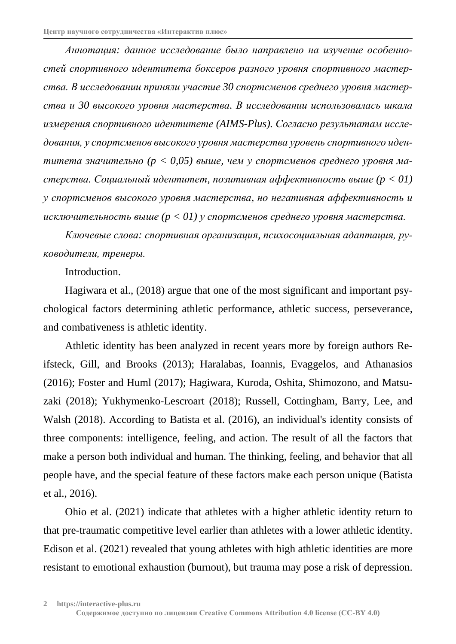*Аннотация: данное исследование было направлено на изучение особенностей спортивного идентитета боксеров разного уровня спортивного мастерства. В исследовании приняли участие 30 спортсменов среднего уровня мастерства и 30 высокого уровня мастерства. В исследовании использовалась шкала измерения спортивного идентитете (AIMS-Plus). Согласно результатам исследования, у спортсменов высокого уровня мастерства уровень спортивного идентитета значительно (p < 0,05) выше, чем у спортсменов среднего уровня мастерства. Социальный идентитет, позитивная аффективность выше (p < 01) у спортсменов высокого уровня мастерства, но негативная аффективность и исключительность выше (p < 01) у спортсменов среднего уровня мастерства.*

*Ключевые слова: спортивная организация, психосоциальная адаптация, руководители, тренеры.*

Introduction.

Hagiwara et al., (2018) argue that one of the most significant and important psychological factors determining athletic performance, athletic success, perseverance, and combativeness is athletic identity.

Athletic identity has been analyzed in recent years more by foreign authors Reifsteck, Gill, and Brooks (2013); Haralabas, Ioannis, Evaggelos, and Athanasios (2016); Foster and Huml (2017); Hagiwara, Kuroda, Oshita, Shimozono, and Matsuzaki (2018); Yukhymenko-Lescroart (2018); Russell, Cottingham, Barry, Lee, and Walsh (2018). According to Batista et al. (2016), an individual's identity consists of three components: intelligence, feeling, and action. The result of all the factors that make a person both individual and human. The thinking, feeling, and behavior that all people have, and the special feature of these factors make each person unique (Batista et al., 2016).

Ohio et al. (2021) indicate that athletes with a higher athletic identity return to that pre-traumatic competitive level earlier than athletes with a lower athletic identity. Edison et al. (2021) revealed that young athletes with high athletic identities are more resistant to emotional exhaustion (burnout), but trauma may pose a risk of depression.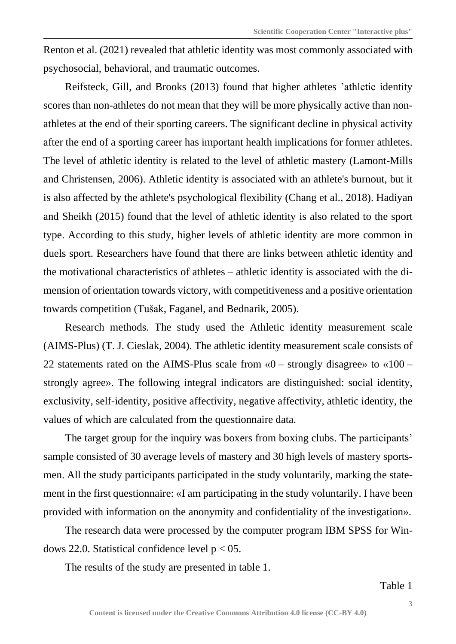Renton et al. (2021) revealed that athletic identity was most commonly associated with psychosocial, behavioral, and traumatic outcomes.

Reifsteck, Gill, and Brooks (2013) found that higher athletes 'athletic identity scores than non-athletes do not mean that they will be more physically active than nonathletes at the end of their sporting careers. The significant decline in physical activity after the end of a sporting career has important health implications for former athletes. The level of athletic identity is related to the level of athletic mastery (Lamont-Mills and Christensen, 2006). Athletic identity is associated with an athlete's burnout, but it is also affected by the athlete's psychological flexibility (Chang et al., 2018). Hadiyan and Sheikh (2015) found that the level of athletic identity is also related to the sport type. According to this study, higher levels of athletic identity are more common in duels sport. Researchers have found that there are links between athletic identity and the motivational characteristics of athletes – athletic identity is associated with the dimension of orientation towards victory, with competitiveness and a positive orientation towards competition (Tušak, Faganel, and Bednarik, 2005).

Research methods. The study used the Athletic identity measurement scale (AIMS-Plus) (T. J. Cieslak, 2004). The athletic identity measurement scale consists of 22 statements rated on the AIMS-Plus scale from  $\kappa$ 0 – strongly disagree» to  $\kappa$ 100 – strongly agree». The following integral indicators are distinguished: social identity, exclusivity, self-identity, positive affectivity, negative affectivity, athletic identity, the values of which are calculated from the questionnaire data.

The target group for the inquiry was boxers from boxing clubs. The participants' sample consisted of 30 average levels of mastery and 30 high levels of mastery sportsmen. All the study participants participated in the study voluntarily, marking the statement in the first questionnaire: «I am participating in the study voluntarily. I have been provided with information on the anonymity and confidentiality of the investigation».

The research data were processed by the computer program IBM SPSS for Windows 22.0. Statistical confidence level  $p < 05$ .

The results of the study are presented in table 1.

Table 1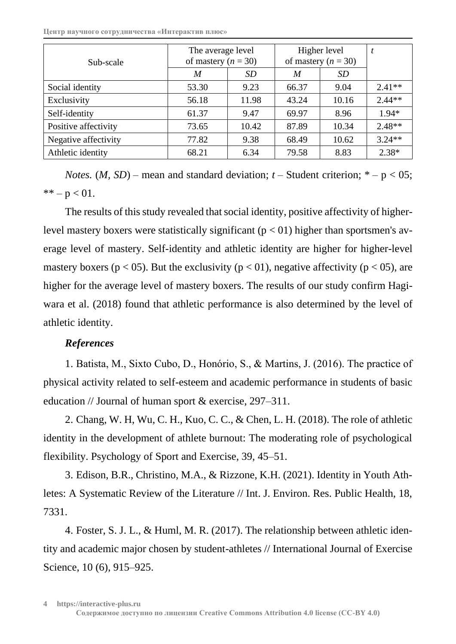**Центр научного сотрудничества «Интерактив плюс»**

| Sub-scale            | The average level<br>of mastery $(n = 30)$ |       | Higher level<br>of mastery $(n = 30)$ |           | t        |
|----------------------|--------------------------------------------|-------|---------------------------------------|-----------|----------|
|                      | M                                          | SD    | M                                     | <i>SD</i> |          |
| Social identity      | 53.30                                      | 9.23  | 66.37                                 | 9.04      | $2.41**$ |
| Exclusivity          | 56.18                                      | 11.98 | 43.24                                 | 10.16     | $2.44**$ |
| Self-identity        | 61.37                                      | 9.47  | 69.97                                 | 8.96      | $1.94*$  |
| Positive affectivity | 73.65                                      | 10.42 | 87.89                                 | 10.34     | $2.48**$ |
| Negative affectivity | 77.82                                      | 9.38  | 68.49                                 | 10.62     | $3.24**$ |
| Athletic identity    | 68.21                                      | 6.34  | 79.58                                 | 8.83      | $2.38*$  |

*Notes.* (*M, SD*) – mean and standard deviation;  $t$  – Student criterion;  $*$  – p < 05; \*\* –  $p < 01$ .

The results of this study revealed that social identity, positive affectivity of higherlevel mastery boxers were statistically significant ( $p < 01$ ) higher than sportsmen's average level of mastery. Self-identity and athletic identity are higher for higher-level mastery boxers ( $p < 05$ ). But the exclusivity ( $p < 01$ ), negative affectivity ( $p < 05$ ), are higher for the average level of mastery boxers. The results of our study confirm Hagiwara et al. (2018) found that athletic performance is also determined by the level of athletic identity.

## *References*

1. Batista, M., Sixto Cubo, D., Honório, S., & Martins, J. (2016). The practice of physical activity related to self-esteem and academic performance in students of basic education // Journal of human sport & exercise, 297–311.

2. Chang, W. H, Wu, C. H., Kuo, C. C., & Chen, L. H. (2018). The role of athletic identity in the development of athlete burnout: The moderating role of psychological flexibility. Psychology of Sport and Exercise, 39, 45–51.

3. Edison, B.R., Christino, M.A., & Rizzone, K.H. (2021). Identity in Youth Athletes: A Systematic Review of the Literature // Int. J. Environ. Res. Public Health, 18, 7331.

4. Foster, S. J. L., & Huml, M. R. (2017). The relationship between athletic identity and academic major chosen by student-athletes // International Journal of Exercise Science, 10 (6), 915–925.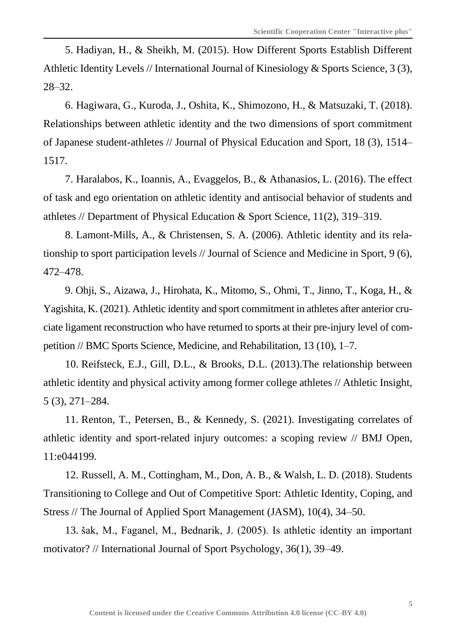5. Hadiyan, H., & Sheikh, M. (2015). How Different Sports Establish Different Athletic Identity Levels // International Journal of Kinesiology & Sports Science, 3 (3), 28–32.

6. Hagiwara, G., Kuroda, J., Oshita, K., Shimozono, H., & Matsuzaki, T. (2018). Relationships between athletic identity and the two dimensions of sport commitment of Japanese student-athletes // Journal of Physical Education and Sport, 18 (3), 1514– 1517.

7. Haralabos, K., Ioannis, A., Evaggelos, B., & Athanasios, L. (2016). The effect of task and ego orientation on athletic identity and antisocial behavior of students and athletes // Department of Physical Education & Sport Science, 11(2), 319–319.

8. Lamont-Mills, A., & Christensen, S. A. (2006). Athletic identity and its relationship to sport participation levels // Journal of Science and Medicine in Sport, 9 (6), 472–478.

9. Ohji, S., Aizawa, J., Hirohata, K., Mitomo, S., Ohmi, T., Jinno, T., Koga, H., & Yagishita, K. (2021). Athletic identity and sport commitment in athletes after anterior cruciate ligament reconstruction who have returned to sports at their pre-injury level of competition // BMC Sports Science, Medicine, and Rehabilitation, 13 (10), 1–7.

10. Reifsteck, E.J., Gill, D.L., & Brooks, D.L. (2013).The relationship between athletic identity and physical activity among former college athletes // Athletic Insight, 5 (3), 271–284.

11. Renton, T., Petersen, B., & Kennedy, S. (2021). Investigating correlates of athletic identity and sport-related injury outcomes: a scoping review // BMJ Open, 11:e044199.

12. Russell, A. M., Cottingham, M., Don, A. B., & Walsh, L. D. (2018). Students Transitioning to College and Out of Competitive Sport: Athletic Identity, Coping, and Stress // The Journal of Applied Sport Management (JASM), 10(4), 34–50.

13. šak, M., Faganel, M., Bednarik, J. (2005). Is athletic identity an important motivator? // International Journal of Sport Psychology, 36(1), 39–49.